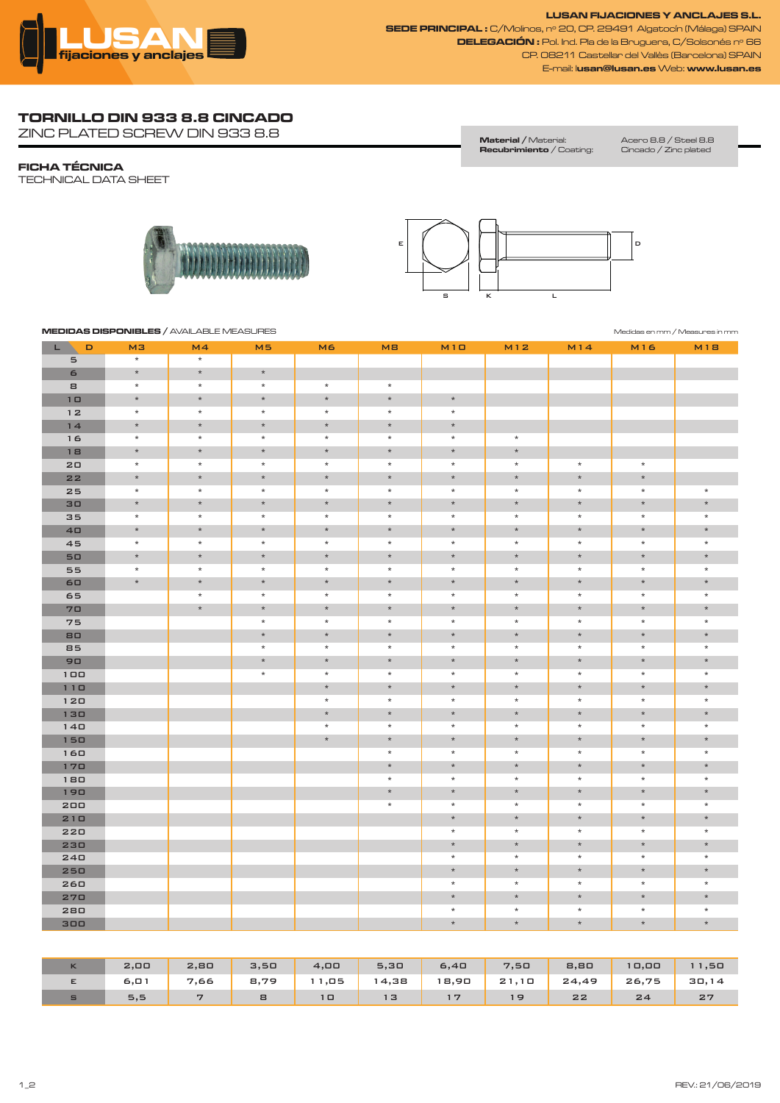

LUSAN FIJACIONES Y ANCLAJES S.L. **SEDE PRINCIPAL :** C/Molinos, nº 20, CP. 29491 Algatocín (Málaga) SPAIN **DELEGACIÓN :** Pol. Ind. Pla de la Bruguera, C/Solsonés nº 66 CP. 08211 Castellar del Vallès (Barcelona) SPAIN E-mail: lusan@lusan.es Web: www.lusan.es

## **TORNILLO DIN 933 8.8 CINCADO**

ZINC PLATED SCREW DIN 933 8.8

## **FICHA TÉCNICA**

TECHNICAL DATA SHEET





**Material /** Material:<br>**Recubrimiento** / Coating:

| <b>MEDIDAS DISPONIBLES / AVAILABLE MEASURES</b><br>Medidas en mm / Measures in mm |         |                |                |                    |                    |                    |                    |                    |                    |                    |
|-----------------------------------------------------------------------------------|---------|----------------|----------------|--------------------|--------------------|--------------------|--------------------|--------------------|--------------------|--------------------|
| L)<br>$\mathsf D$                                                                 | MЗ      | M <sub>4</sub> | M <sub>5</sub> | M6                 | MB                 | M1D                | <b>M12</b>         | M14                | <b>M16</b>         | <b>M18</b>         |
| $\overline{5}$                                                                    | $\star$ | $\star$        |                |                    |                    |                    |                    |                    |                    |                    |
| 6                                                                                 | $\star$ | $\star$        | $\star$        |                    |                    |                    |                    |                    |                    |                    |
| $\,$ $\,$                                                                         | $\star$ | $\star$        | $\star$        | $\star$            | $\star$            |                    |                    |                    |                    |                    |
| 1 <sub>0</sub>                                                                    | $\star$ | $\star$        | $\star$        | $\star$            | $\star$            | $\star$            |                    |                    |                    |                    |
| 12                                                                                | $\star$ | $\star$        | $\star$        | $\star$            | $\star$            | $\star$            |                    |                    |                    |                    |
| 14                                                                                | $\star$ | $\star$        | $\ast$         | $\star$            | $\star$            | $\star$            |                    |                    |                    |                    |
| 16                                                                                | $\star$ | $\star$        | $\star$        | $\star$            | $\star$            | $\star$            | $\star$            |                    |                    |                    |
| 18                                                                                | $\star$ | $\star$        | $\star$        | $\star$            | $\star$            | $\star$            | $\star$            |                    |                    |                    |
| 20                                                                                | $\star$ | $\star$        | $\star$        | $\star$            | $\star$            | $\star$            | $\star$            | $\star$            | $\star$            |                    |
| 22                                                                                | $\star$ | $\star$        | $\star$        | $\star$            | $\star$            | $\star$            | $\star$            | $\star$            | $\star$            |                    |
| 25                                                                                | $\star$ | $\star$        | $\star$        | $\star$            | $\star$            | $\star$            | $\star$            | $\star$            | $\star$            | $\star$            |
| 30                                                                                | $\star$ | $\star$        | $\star$        | $\star$            | $\star$            | $\star$            | $\star$            | $\star$            | $\star$            | $\star$            |
| 35                                                                                | $\star$ | $\star$        | $\star$        | $\star$            | $\star$            | $\star$            | $\star$            | $\star$            | $\star$            | $\star$            |
| 4 <sup>D</sup>                                                                    | $\star$ | $\ast$         | $\star$        | $\star$            | $\star$            | $\star$            | $\star$            | $\star$            | $\star$            | $\star$            |
| 45                                                                                | $\star$ | $\star$        | $\star$        | $\star$            | $\star$            | $\star$            | $\star$            | $\star$            | $\star$            | $\star$            |
| 50                                                                                | $\star$ | $\ast$         | $\star$        | $\star$            | $\star$            | $\star$            | $\star$            | $\star$            | $\star$            | $\star$            |
| 55                                                                                | $\star$ | $\star$        | $\star$        | $\star$            | $\star$            | $\star$            | $\star$            | $\star$            | $\star$            | $\star$            |
| 60                                                                                | $\star$ | $\ast$         | $\star$        | $\star$            | $\star$            | $\star$            | $\star$            | $\star$            | $\star$            | $\star$            |
| 65                                                                                |         | $\star$        | $\star$        | $\star$            | $\star$            | $\star$            | $\star$            | $\star$            | $\star$            | $\star$            |
| 70                                                                                |         | $\star$        | $\star$        | $\star$            | $\star$            | $\star$            | $\star$            | $\star$            | $\star$            | $\star$            |
| 75                                                                                |         |                | $\star$        | $\star$            | $\star$            | $\star$            | $\star$            | $\star$            | $\star$            | $\star$            |
| 80                                                                                |         |                | $\star$        | $\star$            | $\star$            | $\star$            | $\star$            | $\star$            | $\star$            | $\star$            |
| 85                                                                                |         |                | $\star$        | $\star$            | $\star$            | $\star$            | $\star$            | $\star$            | $\star$            | $\star$            |
| 90                                                                                |         |                | $\star$        | $\star$            | $\star$            | $\star$            | $\star$            | $\star$            | $\star$            | $\star$            |
| 100                                                                               |         |                | $\star$        | $\star$            | $\star$            | $\star$            | $\star$            | $\star$            | $\star$            | $\star$            |
| 110                                                                               |         |                |                | $\star$            | $\star$            | $\star$            | $\star$            | $\star$            | $\star$            | $\star$            |
| 120                                                                               |         |                |                | $\star$            | $\star$            | $\star$            | $\star$            | $\star$            | $\star$            | $\star$            |
| 130                                                                               |         |                |                | $\star$<br>$\star$ | $\star$            | $\star$            | $\star$            | $\star$            | $\star$<br>$\star$ | $\star$            |
| $14\square$                                                                       |         |                |                | $\star$            | $\star$<br>$\star$ | $\star$<br>$\star$ | $\star$<br>$\star$ | $\star$<br>$\star$ | $\star$            | $\star$<br>$\star$ |
| 150                                                                               |         |                |                |                    | $\star$            | $\star$            | $\star$            | $\star$            | $\star$            | $\star$            |
| 16D<br>170                                                                        |         |                |                |                    | $\star$            | $\star$            | $\star$            | $\star$            | $\star$            | $\star$            |
| 180                                                                               |         |                |                |                    | $\star$            | $\star$            | $\star$            | $\star$            | $\star$            | $\star$            |
| 190                                                                               |         |                |                |                    | $\star$            | $\star$            | $\star$            | $\star$            | $\star$            | $\star$            |
| 200                                                                               |         |                |                |                    | $\star$            | $\star$            | $\star$            | $\star$            | $\star$            | $\star$            |
| 210                                                                               |         |                |                |                    |                    | $\star$            | $\star$            | $\star$            | $\star$            | $\star$            |
| 220                                                                               |         |                |                |                    |                    | $\star$            | $\star$            | $\star$            | $\star$            | $\star$            |
| 230                                                                               |         |                |                |                    |                    | $\star$            | $\star$            | $\star$            | $\star$            | $\star$            |
| 240                                                                               |         |                |                |                    |                    | $\star$            | $\star$            | $\star$            | $\star$            | $\star$            |
| 250                                                                               |         |                |                |                    |                    | $\star$            | $\star$            | $\star$            | $\star$            | $\star$            |
| 260                                                                               |         |                |                |                    |                    | $\star$            | $\star$            | $\star$            | $\star$            | $\star$            |
| 270                                                                               |         |                |                |                    |                    | $\star$            | $\star$            | $\star$            | $\star$            | $\star$            |
| 280                                                                               |         |                |                |                    |                    | $\star$            | $\star$            | $\star$            | $\star$            | $\star$            |
| 300                                                                               |         |                |                |                    |                    | $\star$            | $\star$            | $\star$            | $\star$            | $\star$            |

| $\sim$       | 2,00 | 2,80           | 3,50      | 4,00     | 5,30            | 6,40  | 7,50            | 8,80                   | $1\,\square, \square\,\square$ | 11,50 |
|--------------|------|----------------|-----------|----------|-----------------|-------|-----------------|------------------------|--------------------------------|-------|
| E            | 6,01 | 7,66           | 8,79      | 11,05    | 14,38           | 18,90 | 21,10           | 24,49                  | 26,75                          | 30,14 |
| $\mathbf{s}$ | 5, 5 | $\overline{ }$ | $\,$ $\,$ | $1 \Box$ | 13 <sub>l</sub> | 17    | 19 <sup>′</sup> | $\mathbf{Z}\mathbf{Z}$ | 24                             | 27    |

Acero 8.8 / Steel 8.8<br>Cincado / Zinc plated